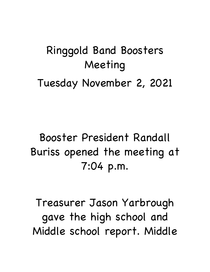## Ringgold Band Boosters Meeting Tuesday November 2, 2021

### Booster President Randall Buriss opened the meeting at 7:04 p.m.

Treasurer Jason Yarbrough gave the high school and Middle school report. Middle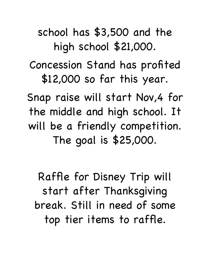### school has \$3,500 and the high school \$21,000.

#### Concession Stand has profited \$12,000 so far this year.

Snap raise will start Nov,4 for the middle and high school. It will be a friendly competition. The goal is \$25,000.

Raffle for Disney Trip will start after Thanksgiving break. Still in need of some top tier items to raffle.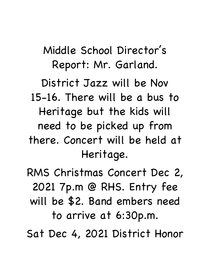Middle School Director's Report: Mr. Garland.

District Jazz will be Nov 15-16. There will be a bus to Heritage but the kids will need to be picked up from there. Concert will be held at Heritage.

RMS Christmas Concert Dec 2, 2021 7p.m @ RHS. Entry fee will be \$2. Band embers need to arrive at 6:30p.m.

Sat Dec 4, 2021 District Honor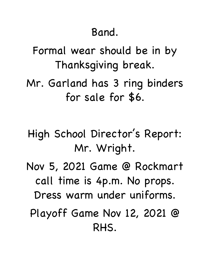#### Band.

Formal wear should be in by Thanksgiving break.

- Mr. Garland has 3 ring binders for sale for \$6.
- High School Director's Report: Mr. Wright.
- Nov 5, 2021 Game @ Rockmart call time is 4p.m. No props. Dress warm under uniforms. Playoff Game Nov 12, 2021 @

RHS.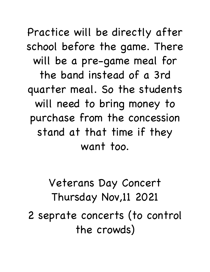Practice will be directly after school before the game. There will be a pre-game meal for the band instead of a 3rd quarter meal. So the students will need to bring money to purchase from the concession stand at that time if they want too.

Veterans Day Concert Thursday Nov,11 2021 2 seprate concerts (to control the crowds)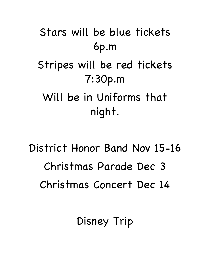Stars will be blue tickets 6p.m Stripes will be red tickets 7:30p.m Will be in Uniforms that night.

District Honor Band Nov 15-16 Christmas Parade Dec 3 Christmas Concert Dec 14

Disney Trip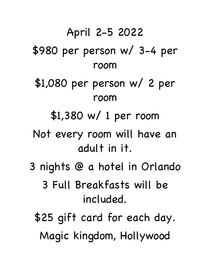# April 2-5 2022 \$980 per person w/ 3-4 per room \$1,080 per person w/ 2 per room \$1,380 w/ 1 per room Not every room will have an adult in it. 3 nights @ a hotel in Orlando 3 Full Breakfasts will be included. \$25 gift card for each day. Magic kingdom, Hollywood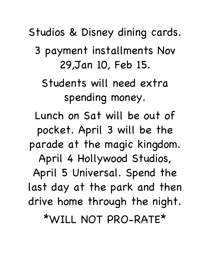Studios & Disney dining cards. 3 payment installments Nov 29,Jan 10, Feb 15. Students will need extra spending money. Lunch on Sat will be out of pocket. April 3 will be the parade at the magic kingdom. April 4 Hollywood Studios, April 5 Universal. Spend the last day at the park and then drive home through the night. \*WILL NOT PRO-RATE\*